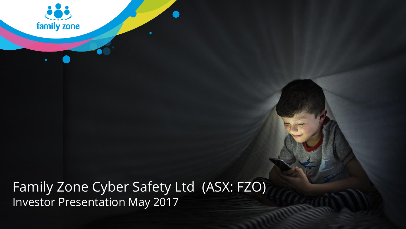

Family Zone Cyber Safety Ltd (ASX: FZO) Investor Presentation May 2017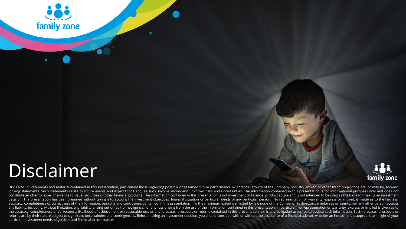

# Disclaimer



returns are by their nature subject to significant uncertainties and contingencies. Before making an investment decision, you should consider, with or without the assistance of a financial adviser, whether an investment is DISCLAIMER: Statements and material contained in this Presentation, particularly those regarding possible or assumed future performance or potential growth of the Company, industry growth or other trend projections are, or looking statements. Such statements relate to future events and expectations and, as such, involve known and unknown risks and uncertainties. The information contained in this presentation is for informational purposes onl constitute an offer to issue, or arrange to issue, securities or other financial products. The information contained in this presentation is not investment or financial product advice and is not intended to be used as the decision. The presentation has been prepared without taking into account the investment objectives, financial situation or particular needs of any particular person. No representation or warranty, express or implied, is ma accuracy, completeness or correctness of the information, opinions and conclusions contained in this presentation. To the maximum extent permitted by law none of the Company, its directors, employees or agents, nor any oth any liability, including, without limitation, any liability arising out of fault of negligence, for any loss arising from the use of the information contained in this presentation. In particular, no representation or warra the accuracy, completeness or correctness, likelihood of achievement or reasonableness or any forecasts, prospects or returns contained in this presentation nor is any obligation assumed to update such information. Such fo particular investment needs, objectives and financial circumstances.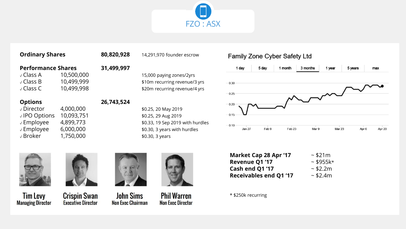

#### **Ordinary Shares 80,820,928** 14,291,970 founder escrow

#### **Performance Shares 31,499,997**

 $\sqrt{C}$  Class A 10,500,000 15,000 paying zones/2yrs  $\sqrt{C}$  Class B 10,499,999  $\sqrt{C}$  \$10m recurring revenue/3 yrs ✓ Class C 10,499,998 \$20m recurring revenue/4 yrs

#### **Options 26,743,524**

 $\sqrt{10}$  Director 4,000,000  $\sqrt{25}$ , 20 May 2019 √ IPO Options 10,093,751 \$0.25, 29 Aug 2019  $\sqrt{2}$  Employee 6,000,000  $\sqrt{2}$  \$0.30, 3 years with hurdles  $\sqrt{3}$  Broker 1,750,000  $\sqrt{5}$  \$0.30, 3 years

 $\sqrt{2}$  Employee 4,899,773  $\sqrt{2}$  \$0.33, 19 Sep 2019 with hurdles





**Crispin Swan Executive Director Non Exec Chairman** 



**John Sims** 



#### Family Zone Cyber Safety Ltd



| Market Cap 28 Apr '17         | ~521m      |
|-------------------------------|------------|
| Revenue Q1 '17                | $~15955k*$ |
| Cash end Q1 '17               | ~52.2m     |
| <b>Receivables end Q1 '17</b> | ~52.4m     |

#### \* \$250k recurring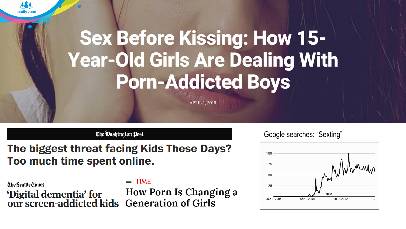

# **Sex Before Kissing: How 15-Year-Old Girls Are Dealing With Porn-Addicted Boys**

**APRIL 1, 2016** 

#### The Washington Post

### The biggest threat facing Kids These Days? Too much time spent online.

The Seattle Times 'Digital dementia' for our screen-addicted kids

### $\equiv$  TIME

How Porn Is Changing a **Generation of Girls** 

### Google searches: "Sexting"

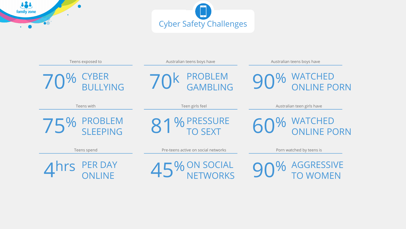



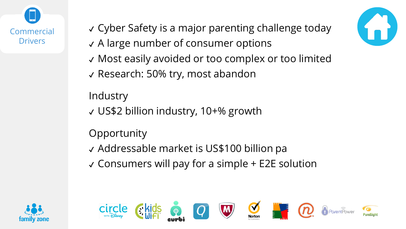



- ✔ A large number of consumer options
- ✔ Most easily avoided or too complex or too limited
- ✔ Research: 50% try, most abandon

**Industry** 

✔ US\$2 billion industry, 10+% growth

## **Opportunity**

✔ Addressable market is US\$100 billion pa

 $\vee$  Consumers will pay for a simple  $+$  E2E solution





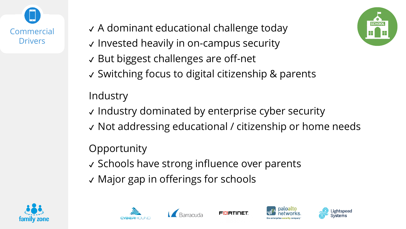

- ✔ A dominant educational challenge today
- ✔ Invested heavily in on-campus security
- ✔ But biggest challenges are off-net
- ✔ Switching focus to digital citizenship & parents

## **Industry**

- ✔ Industry dominated by enterprise cyber security
- ✔ Not addressing educational / citizenship or home needs

FIRTIDET

### **Opportunity**

- ✔ Schools have strong influence over parents
- ✔ Major gap in offerings for schools











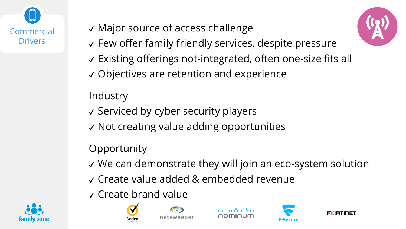

## ✔ Major source of access challenge

- ✔ Few offer family friendly services, despite pressure
- ✔ Existing offerings not-integrated, often one-size fits all
- ✔ Objectives are retention and experience

### **Industry**

- ✔ Serviced by cyber security players
- ✔ Not creating value adding opportunities

### **Opportunity**

- ✔ We can demonstrate they will join an eco-system solution
- ✔ Create value added & embedded revenue
- ✔ Create brand value













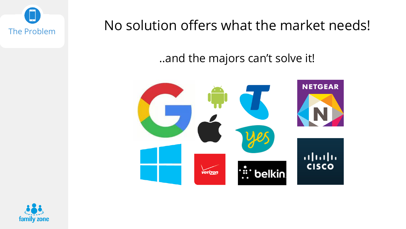The Problem No solution offers what the market needs!

### ..and the majors can't solve it!



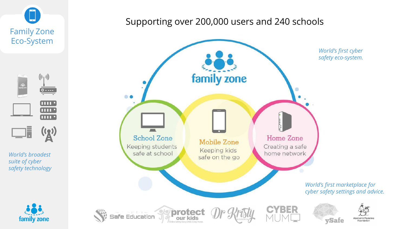

*World's broadest suite of cyber safety technology*

family zone



### Supporting over 200,000 users and 240 schools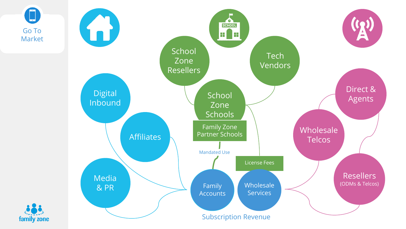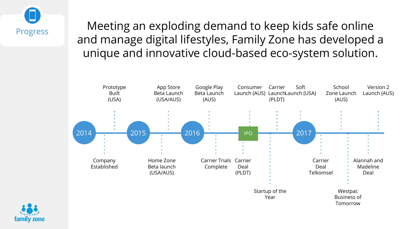

Meeting an exploding demand to keep kids safe online and manage digital lifestyles, Family Zone has developed a unique and innovative cloud-based eco-system solution.



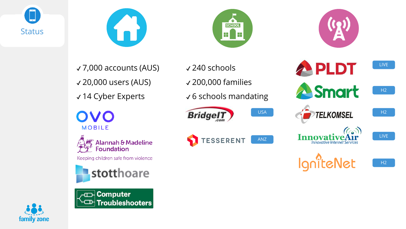

family zone







PLDT ✔ 7,000 accounts (AUS) ✔ 240 schools ✔ 20,000 users (AUS) ✔ 200,000 families ✔ 14 Cyber Experts ✔ 6 schools mandating

**Bridge!T** 

**TESSERENT** 





Keeping children safe from violence





USA ANZ

**A**Smart  $H2$ **TELKOMSEL** H2  $(\epsilon_{\bullet})$ LIVE



**Innovative Internet Services** 

H2

LIVE